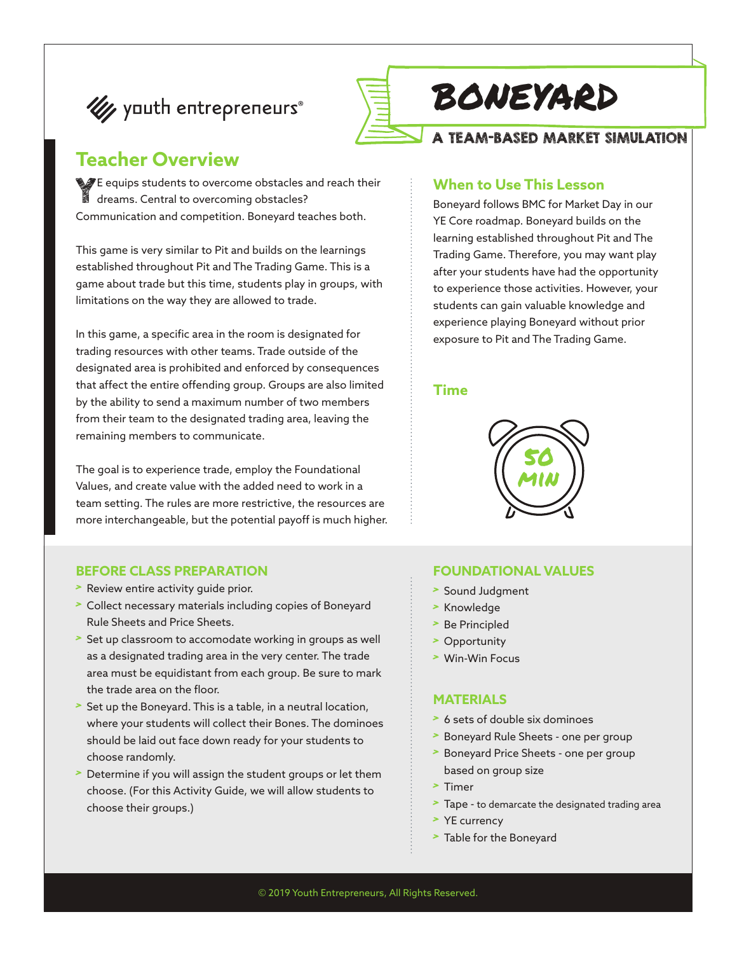



# boneyard

#### A TEAM-BASED MARKET SIMULATION

### **Teacher Overview**

YE equips students to overcome obstacles and reach their dreams. Central to overcoming obstacles? Communication and competition. Boneyard teaches both.

This game is very similar to Pit and builds on the learnings established throughout Pit and The Trading Game. This is a game about trade but this time, students play in groups, with limitations on the way they are allowed to trade.

In this game, a specific area in the room is designated for trading resources with other teams. Trade outside of the designated area is prohibited and enforced by consequences that affect the entire offending group. Groups are also limited by the ability to send a maximum number of two members from their team to the designated trading area, leaving the remaining members to communicate.

The goal is to experience trade, employ the Foundational Values, and create value with the added need to work in a team setting. The rules are more restrictive, the resources are more interchangeable, but the potential payoff is much higher.

#### **BEFORE CLASS PREPARATION**

- > Review entire activity guide prior.
- > Collect necessary materials including copies of Boneyard Rule Sheets and Price Sheets.
- > Set up classroom to accomodate working in groups as well as a designated trading area in the very center. The trade area must be equidistant from each group. Be sure to mark the trade area on the floor.
- > Set up the Boneyard. This is a table, in a neutral location, where your students will collect their Bones. The dominoes should be laid out face down ready for your students to choose randomly.
- Determine if you will assign the student groups or let them choose. (For this Activity Guide, we will allow students to choose their groups.)

#### **When to Use This Lesson**

Boneyard follows BMC for Market Day in our YE Core roadmap. Boneyard builds on the learning established throughout Pit and The Trading Game. Therefore, you may want play after your students have had the opportunity to experience those activities. However, your students can gain valuable knowledge and experience playing Boneyard without prior exposure to Pit and The Trading Game.

#### **Time**



#### **FOUNDATIONAL VALUES**

- > Sound Judgment
- > Knowledge
- > Be Principled
- > Opportunity
- > Win-Win Focus

#### **MATERIALS**

- > 6 sets of double six dominoes
- > Boneyard Rule Sheets one per group
- > Boneyard Price Sheets one per group based on group size
- > Timer
- > Tape to demarcate the designated trading area
- > YE currency
- > Table for the Boneyard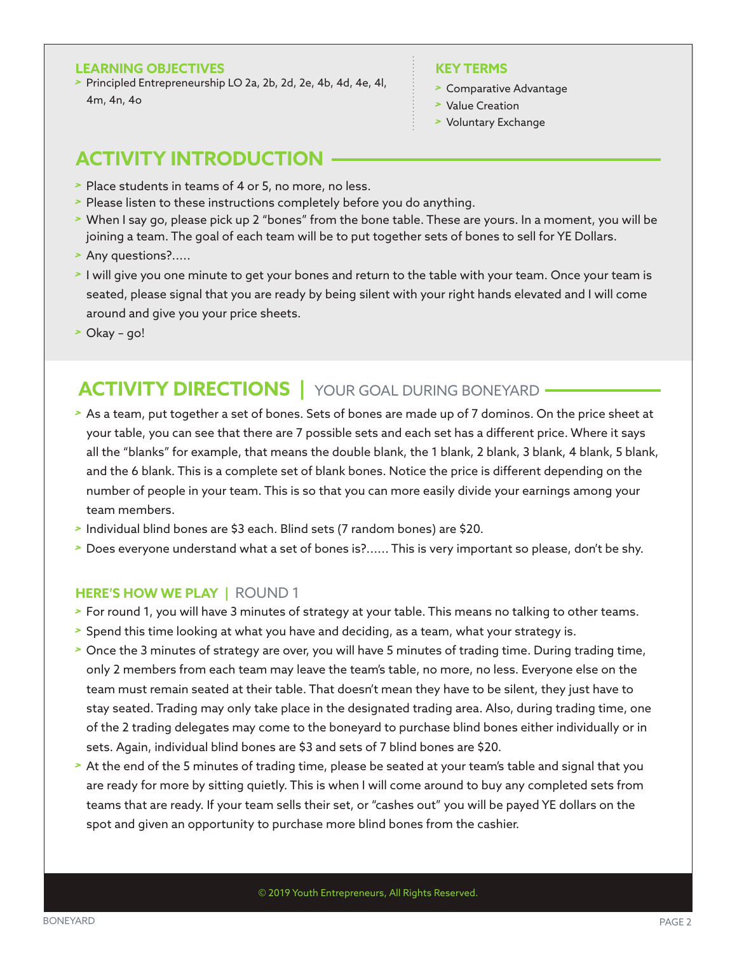#### **LEARNING OBJECTIVES**

> Principled Entrepreneurship LO 2a, 2b, 2d, 2e, 4b, 4d, 4e, 4l, 4m, 4n, 4o

#### **KEY TERMS**

- > Comparative Advantage
- > Value Creation
- > Voluntary Exchange

### **ACTIVITY INTRODUCTION**

- > Place students in teams of 4 or 5, no more, no less.
- > Please listen to these instructions completely before you do anything.
- > When I say go, please pick up 2 "bones" from the bone table. These are yours. In a moment, you will be joining a team. The goal of each team will be to put together sets of bones to sell for YE Dollars.
- > Any questions?.....
- > I will give you one minute to get your bones and return to the table with your team. Once your team is seated, please signal that you are ready by being silent with your right hands elevated and I will come around and give you your price sheets.
- > Okay go!

### **ACTIVITY DIRECTIONS** | YOUR GOAL DURING BONEYARD -

- > As a team, put together a set of bones. Sets of bones are made up of 7 dominos. On the price sheet at your table, you can see that there are 7 possible sets and each set has a different price. Where it says all the "blanks" for example, that means the double blank, the 1 blank, 2 blank, 3 blank, 4 blank, 5 blank, and the 6 blank. This is a complete set of blank bones. Notice the price is different depending on the number of people in your team. This is so that you can more easily divide your earnings among your team members.
- > Individual blind bones are \$3 each. Blind sets (7 random bones) are \$20.
- > Does everyone understand what a set of bones is?...... This is very important so please, don't be shy.

#### **HERE'S HOW WE PLAY |** ROUND 1

- > For round 1, you will have 3 minutes of strategy at your table. This means no talking to other teams.
- > Spend this time looking at what you have and deciding, as a team, what your strategy is.
- > Once the 3 minutes of strategy are over, you will have 5 minutes of trading time. During trading time, only 2 members from each team may leave the team's table, no more, no less. Everyone else on the team must remain seated at their table. That doesn't mean they have to be silent, they just have to stay seated. Trading may only take place in the designated trading area. Also, during trading time, one of the 2 trading delegates may come to the boneyard to purchase blind bones either individually or in sets. Again, individual blind bones are \$3 and sets of 7 blind bones are \$20.
- > At the end of the 5 minutes of trading time, please be seated at your team's table and signal that you are ready for more by sitting quietly. This is when I will come around to buy any completed sets from teams that are ready. If your team sells their set, or "cashes out" you will be payed YE dollars on the spot and given an opportunity to purchase more blind bones from the cashier.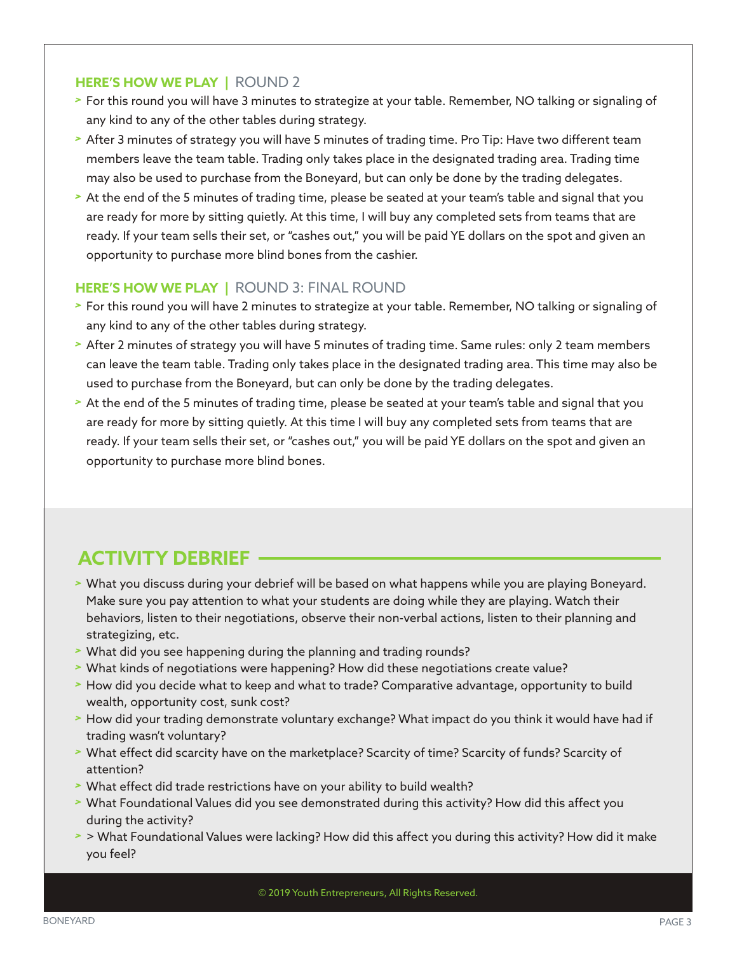#### **HERE'S HOW WE PLAY |** ROUND 2

- > For this round you will have 3 minutes to strategize at your table. Remember, NO talking or signaling of any kind to any of the other tables during strategy.
- > After 3 minutes of strategy you will have 5 minutes of trading time. Pro Tip: Have two different team members leave the team table. Trading only takes place in the designated trading area. Trading time may also be used to purchase from the Boneyard, but can only be done by the trading delegates.
- > At the end of the 5 minutes of trading time, please be seated at your team's table and signal that you are ready for more by sitting quietly. At this time, I will buy any completed sets from teams that are ready. If your team sells their set, or "cashes out," you will be paid YE dollars on the spot and given an opportunity to purchase more blind bones from the cashier.

#### **HERE'S HOW WE PLAY |** ROUND 3: FINAL ROUND

- > For this round you will have 2 minutes to strategize at your table. Remember, NO talking or signaling of any kind to any of the other tables during strategy.
- > After 2 minutes of strategy you will have 5 minutes of trading time. Same rules: only 2 team members can leave the team table. Trading only takes place in the designated trading area. This time may also be used to purchase from the Boneyard, but can only be done by the trading delegates.
- > At the end of the 5 minutes of trading time, please be seated at your team's table and signal that you are ready for more by sitting quietly. At this time I will buy any completed sets from teams that are ready. If your team sells their set, or "cashes out," you will be paid YE dollars on the spot and given an opportunity to purchase more blind bones.

## **ACTIVITY DEBRIEF**

- > What you discuss during your debrief will be based on what happens while you are playing Boneyard. Make sure you pay attention to what your students are doing while they are playing. Watch their behaviors, listen to their negotiations, observe their non-verbal actions, listen to their planning and strategizing, etc.
- > What did you see happening during the planning and trading rounds?
- > What kinds of negotiations were happening? How did these negotiations create value?
- > How did you decide what to keep and what to trade? Comparative advantage, opportunity to build wealth, opportunity cost, sunk cost?
- > How did your trading demonstrate voluntary exchange? What impact do you think it would have had if trading wasn't voluntary?
- > What effect did scarcity have on the marketplace? Scarcity of time? Scarcity of funds? Scarcity of attention?
- > What effect did trade restrictions have on your ability to build wealth?
- > What Foundational Values did you see demonstrated during this activity? How did this affect you during the activity?
- > > What Foundational Values were lacking? How did this affect you during this activity? How did it make you feel?

© 2019 Youth Entrepreneurs, All Rights Reserved.